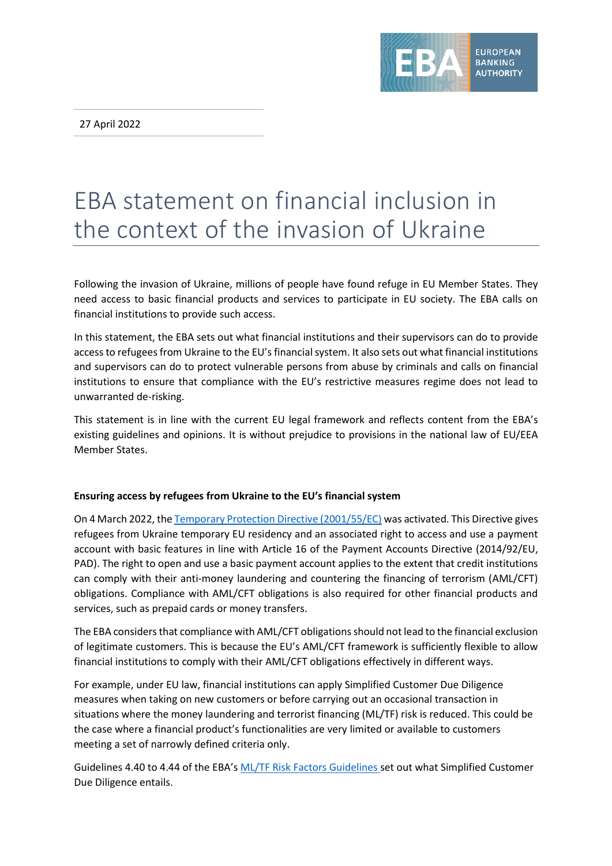27 April 2022



# EBA statement on financial inclusion in the context of the invasion of Ukraine

Following the invasion of Ukraine, millions of people have found refuge in EU Member States. They need access to basic financial products and services to participate in EU society. The EBA calls on financial institutions to provide such access.

In this statement, the EBA sets out what financial institutions and their supervisors can do to provide access to refugees from Ukraine to the EU's financial system. It also sets out what financial institutions and supervisors can do to protect vulnerable persons from abuse by criminals and calls on financial institutions to ensure that compliance with the EU's restrictive measures regime does not lead to unwarranted de-risking.

This statement is in line with the current EU legal framework and reflects content from the EBA's existing guidelines and opinions. It is without prejudice to provisions in the national law of EU/EEA Member States.

## **Ensuring access by refugees from Ukraine to the EU's financial system**

On 4 March 2022, th[e Temporary Protection Directive \(2001/55/EC\)](https://eur-lex.europa.eu/legal-content/EN/TXT/PDF/?uri=CELEX:32022D0382&from=EN) was activated. This Directive gives refugees from Ukraine temporary EU residency and an associated right to access and use a payment account with basic features in line with Article 16 of the Payment Accounts Directive (2014/92/EU, PAD). The right to open and use a basic payment account applies to the extent that credit institutions can comply with their anti-money laundering and countering the financing of terrorism (AML/CFT) obligations. Compliance with AML/CFT obligations is also required for other financial products and services, such as prepaid cards or money transfers.

The EBA considers that compliance with AML/CFT obligations should not lead to the financial exclusion of legitimate customers. This is because the EU's AML/CFT framework is sufficiently flexible to allow financial institutions to comply with their AML/CFT obligations effectively in different ways.

For example, under EU law, financial institutions can apply Simplified Customer Due Diligence measures when taking on new customers or before carrying out an occasional transaction in situations where the money laundering and terrorist financing (ML/TF) risk is reduced. This could be the case where a financial product's functionalities are very limited or available to customers meeting a set of narrowly defined criteria only.

Guidelines 4.40 to 4.44 of the EBA's [ML/TF Risk Factors Guidelines](https://www.eba.europa.eu/regulation-and-policy/anti-money-laundering-and-e-money/revised-guidelines-on-ml-tf-risk-factors) set out what Simplified Customer Due Diligence entails.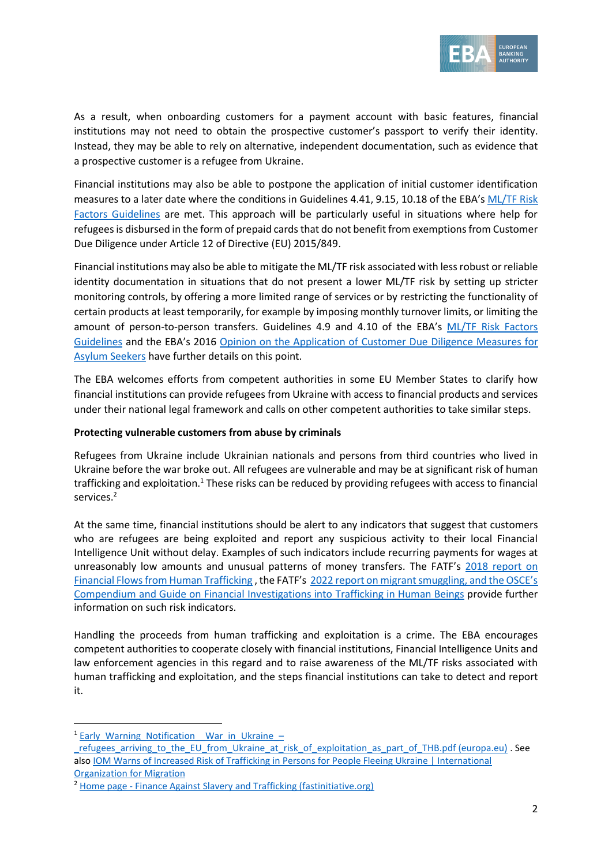

As a result, when onboarding customers for a payment account with basic features, financial institutions may not need to obtain the prospective customer's passport to verify their identity. Instead, they may be able to rely on alternative, independent documentation, such as evidence that a prospective customer is a refugee from Ukraine.

Financial institutions may also be able to postpone the application of initial customer identification measures to a later date where the conditions in Guidelines 4.41, 9.15, 10.18 of the EBA's [ML/TF Risk](https://www.eba.europa.eu/regulation-and-policy/anti-money-laundering-and-e-money/revised-guidelines-on-ml-tf-risk-factors)  [Factors Guidelines](https://www.eba.europa.eu/regulation-and-policy/anti-money-laundering-and-e-money/revised-guidelines-on-ml-tf-risk-factors) are met. This approach will be particularly useful in situations where help for refugees is disbursed in the form of prepaid cards that do not benefit from exemptions from Customer Due Diligence under Article 12 of Directive (EU) 2015/849.

Financial institutions may also be able to mitigate the ML/TF risk associated with lessrobust or reliable identity documentation in situations that do not present a lower ML/TF risk by setting up stricter monitoring controls, by offering a more limited range of services or by restricting the functionality of certain products at least temporarily, for example by imposing monthly turnover limits, or limiting the amount of person-to-person transfers. Guidelines 4.9 and 4.10 of the EBA's [ML/TF Risk Factors](https://www.eba.europa.eu/regulation-and-policy/anti-money-laundering-and-e-money/revised-guidelines-on-ml-tf-risk-factors)  [Guidelines](https://www.eba.europa.eu/regulation-and-policy/anti-money-laundering-and-e-money/revised-guidelines-on-ml-tf-risk-factors) and the EBA's 2016 [Opinion on the Application of Customer Due Diligence](https://www.eba.europa.eu/sites/default/documents/files/documents/10180/1359456/4d12c223-105f-4cf0-a533-a8dae1f6047e/EBA-Op-2016-07%20%28Opinion%20on%20Customer%20Due%20Diligence%20on%20Asylum%20Seekers%29.pdf) Measures for [Asylum Seekers](https://www.eba.europa.eu/sites/default/documents/files/documents/10180/1359456/4d12c223-105f-4cf0-a533-a8dae1f6047e/EBA-Op-2016-07%20%28Opinion%20on%20Customer%20Due%20Diligence%20on%20Asylum%20Seekers%29.pdf) have further details on this point.

The EBA welcomes efforts from competent authorities in some EU Member States to clarify how financial institutions can provide refugees from Ukraine with access to financial products and services under their national legal framework and calls on other competent authorities to take similar steps.

### **Protecting vulnerable customers from abuse by criminals**

Refugees from Ukraine include Ukrainian nationals and persons from third countries who lived in Ukraine before the war broke out. All refugees are vulnerable and may be at significant risk of human trafficking and exploitation.<sup>1</sup> These risks can be reduced by providing refugees with access to financial services.<sup>2</sup>

At the same time, financial institutions should be alert to any indicators that suggest that customers who are refugees are being exploited and report any suspicious activity to their local Financial Intelligence Unit without delay. Examples of such indicators include recurring payments for wages at unreasonably low amounts and unusual patterns of money transfers. The FATF's 2018 report on [Financial Flows from Human Trafficking](https://www.fatf-gafi.org/media/fatf/content/images/Human-Trafficking-2018.pdf) , the FATF's [2022 report on migrant smuggling](https://www.fatf-gafi.org/publications/methodsandtrends/documents/migrant-smuggling.html), and the OSCE's [Compendium and Guide on Financial Investigations into](https://www.osce.org/cthb/438323) Trafficking in Human Beings provide further information on such risk indicators.

Handling the proceeds from human trafficking and exploitation is a crime. The EBA encourages competent authorities to cooperate closely with financial institutions, Financial Intelligence Units and law enforcement agencies in this regard and to raise awareness of the ML/TF risks associated with human trafficking and exploitation, and the steps financial institutions can take to detect and report it.

<sup>&</sup>lt;sup>1</sup> Early Warning Notification War in Ukraine –

refugees arriving to the EU from Ukraine at risk of exploitation as part of THB.pdf (europa.eu) . See als[o IOM Warns of Increased Risk of Trafficking in Persons for People Fleeing Ukraine | International](https://www.iom.int/news/iom-warns-increased-risk-trafficking-persons-people-fleeing-ukraine)  [Organization for Migration](https://www.iom.int/news/iom-warns-increased-risk-trafficking-persons-people-fleeing-ukraine)

<sup>&</sup>lt;sup>2</sup> Home page - [Finance Against Slavery and Trafficking \(fastinitiative.org\)](https://www.fastinitiative.org/)